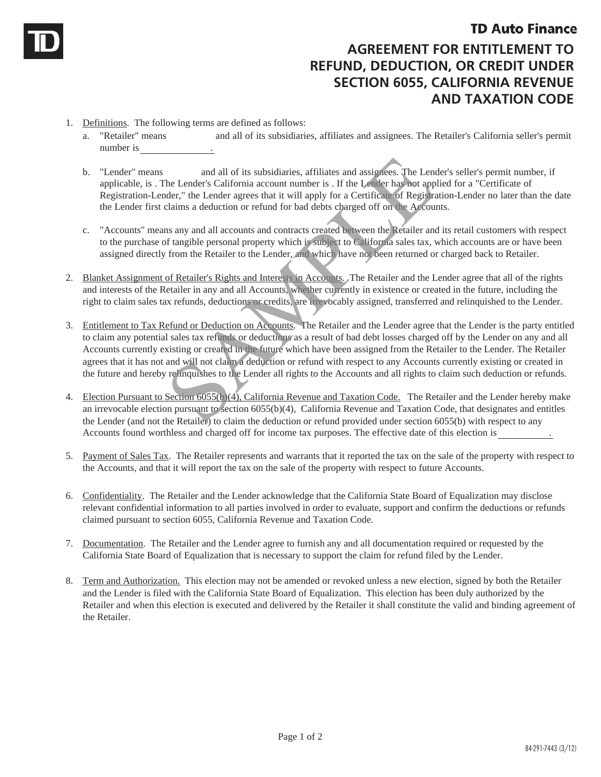## **TD Auto Finance**

## **AGREEMENT FOR ENTITLEMENT TO REFUND, DEDUCTION, OR CREDIT UNDER SECTION 6055, CALIFORNIA REVENUE AND TAXATION CODE**

- 1. Definitions. The following terms are defined as follows:
	- a. "Retailer" means and all of its subsidiaries, affiliates and assignees. The Retailer's California seller's permit number is
	- b. "Lender" means and all of its subsidiaries, affiliates and assignees. The Lender's seller's permit number, if applicable, is . The Lender's California account number is . If the Lender has not applied for a "Certificate of Registration-Lender," the Lender agrees that it will apply for a Certificate of Registration-Lender no later than the date the Lender first claims a deduction or refund for bad debts charged off on the Accounts.
	- c. "Accounts" means any and all accounts and contracts created between the Retailer and its retail customers with respect to the purchase of tangible personal property which is subject to California sales tax, which accounts are or have been assigned directly from the Retailer to the Lender, and which have not been returned or charged back to Retailer.
- 2. Blanket Assignment of Retailer's Rights and Interests in Accounts. The Retailer and the Lender agree that all of the rights and interests of the Retailer in any and all Accounts, whether currently in existence or created in the future, including the right to claim sales tax refunds, deductions or credits, are irrevocably assigned, transferred and relinquished to the Lender.
- 3. Entitlement to Tax Refund or Deduction on Accounts. The Retailer and the Lender agree that the Lender is the party entitled to claim any potential sales tax refunds or deductions as a result of bad debt losses charged off by the Lender on any and all Accounts currently existing or created in the future which have been assigned from the Retailer to the Lender. The Retailer agrees that it has not and will not claim a deduction or refund with respect to any Accounts currently existing or created in the future and hereby relinquishes to the Lender all rights to the Accounts and all rights to claim such deduction or refunds. and all of its subsidiaries, affiliates and assignees. The Lender's California account number is . If the Lender has not applement the Carolic pole and the Carolic pole and the Accounts and deduction or refund for bad debt
- 4. Election Pursuant to Section 6055(b)(4), California Revenue and Taxation Code. The Retailer and the Lender hereby make an irrevocable election pursuant to section 6055(b)(4), California Revenue and Taxation Code, that designates and entitles the Lender (and not the Retailer) to claim the deduction or refund provided under section 6055(b) with respect to any Accounts found worthless and charged off for income tax purposes. The effective date of this election is .
- 5. Payment of Sales Tax. The Retailer represents and warrants that it reported the tax on the sale of the property with respect to the Accounts, and that it will report the tax on the sale of the property with respect to future Accounts.
- 6. Confidentiality. The Retailer and the Lender acknowledge that the California State Board of Equalization may disclose relevant confidential information to all parties involved in order to evaluate, support and confirm the deductions or refunds claimed pursuant to section 6055, California Revenue and Taxation Code.
- 7. Documentation. The Retailer and the Lender agree to furnish any and all documentation required or requested by the California State Board of Equalization that is necessary to support the claim for refund filed by the Lender.
- 8. Term and Authorization. This election may not be amended or revoked unless a new election, signed by both the Retailer and the Lender is filed with the California State Board of Equalization. This election has been duly authorized by the Retailer and when this election is executed and delivered by the Retailer it shall constitute the valid and binding agreement of the Retailer.